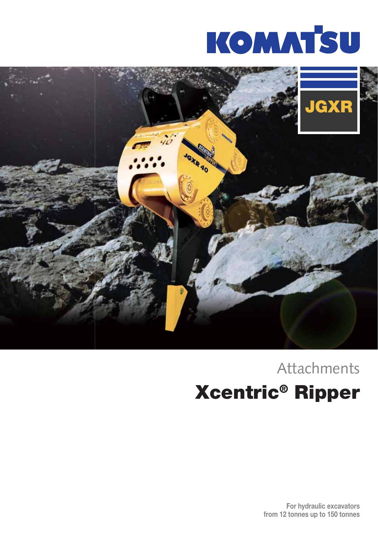



### Xcentric® Ripper Attachments

For hydraulic excavators from 12 tonnes up to 150 tonnes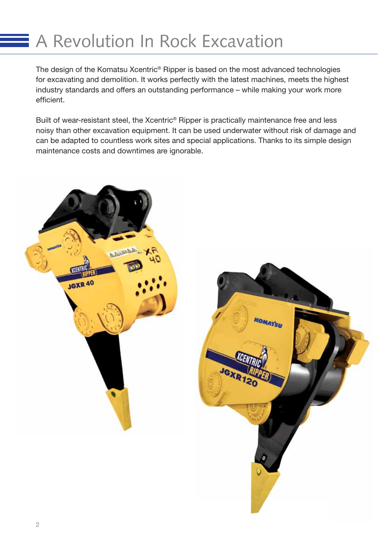### **A Revolution In Rock Excavation**

The design of the Komatsu Xcentric® Ripper is based on the most advanced technologies for excavating and demolition. It works perfectly with the latest machines, meets the highest industry standards and offers an outstanding performance – while making your work more efficient.

Built of wear-resistant steel, the Xcentric® Ripper is practically maintenance free and less noisy than other excavation equipment. It can be used underwater without risk of damage and can be adapted to countless work sites and special applications. Thanks to its simple design maintenance costs and downtimes are ignorable.

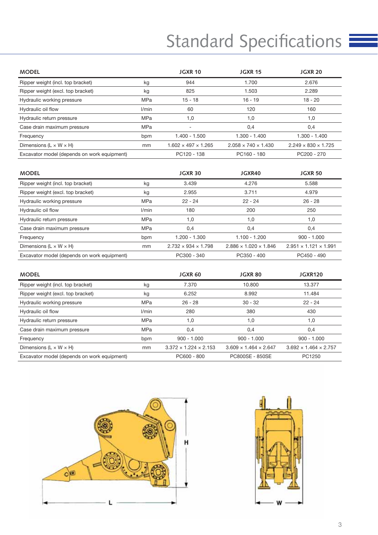# Standard Specifications

| <b>MODEL</b>                                |            | <b>JGXR 10</b>                  | <b>JGXR 15</b>                  | <b>JGXR 20</b>                  |
|---------------------------------------------|------------|---------------------------------|---------------------------------|---------------------------------|
| Ripper weight (incl. top bracket)           | kg         | 944                             | 1.700                           | 2.676                           |
| Ripper weight (excl. top bracket)           | kg         | 825                             | 1.503                           | 2.289                           |
| Hydraulic working pressure                  | MPa        | $15 - 18$                       | $16 - 19$                       | $18 - 20$                       |
| Hydraulic oil flow                          | l/min      | 60                              | 120                             | 160                             |
| Hydraulic return pressure                   | <b>MPa</b> | 1,0                             | 1,0                             | 1,0                             |
| Case drain maximum pressure                 | <b>MPa</b> |                                 | 0,4                             | 0,4                             |
| Frequency                                   | bpm        | $1.400 - 1.500$                 | $1.300 - 1.400$                 | $1.300 - 1.400$                 |
| Dimensions ( $L \times W \times H$ )        | mm         | $1.602 \times 497 \times 1.265$ | $2.058 \times 740 \times 1.430$ | $2.249 \times 830 \times 1.725$ |
| Excavator model (depends on work equipment) |            | PC120 - 138                     | PC160 - 180                     | PC200 - 270                     |

| <b>MODEL</b>                                |            | <b>JGXR 30</b>                  | JGXR40                            | <b>JGXR 50</b>                    |
|---------------------------------------------|------------|---------------------------------|-----------------------------------|-----------------------------------|
| Ripper weight (incl. top bracket)           | kg         | 3.439                           | 4.276                             | 5.588                             |
| Ripper weight (excl. top bracket)           | kg         | 2.955                           | 3.711                             | 4.979                             |
| Hydraulic working pressure                  | <b>MPa</b> | $22 - 24$                       | $22 - 24$                         | $26 - 28$                         |
| Hydraulic oil flow                          | l/min      | 180                             | 200                               | 250                               |
| Hydraulic return pressure                   | <b>MPa</b> | 1,0                             | 1.0                               | 1,0                               |
| Case drain maximum pressure                 | <b>MPa</b> | 0,4                             | 0,4                               | 0,4                               |
| Frequency                                   | bpm        | $1.200 - 1.300$                 | $1.100 - 1.200$                   | $900 - 1.000$                     |
| Dimensions ( $L \times W \times H$ )        | mm         | $2.732 \times 934 \times 1.798$ | $2.886 \times 1.020 \times 1.846$ | $2.951 \times 1.121 \times 1.991$ |
| Excavator model (depends on work equipment) |            | PC300 - 340                     | PC350 - 400                       | PC450 - 490                       |

| <b>MODEL</b>                                |       | JGXR <sub>60</sub>                | <b>JGXR 80</b>                    | JGXR120                           |
|---------------------------------------------|-------|-----------------------------------|-----------------------------------|-----------------------------------|
| Ripper weight (incl. top bracket)           | kg    | 7.370                             | 10,800                            | 13.377                            |
| Ripper weight (excl. top bracket)           | kg    | 6.252                             | 8.992                             | 11.484                            |
| Hydraulic working pressure                  | MPa   | $26 - 28$                         | $30 - 32$                         | $22 - 24$                         |
| Hydraulic oil flow                          | l/min | 280                               | 380                               | 430                               |
| Hydraulic return pressure                   | MPa   | 1,0                               | 1.0                               | 1,0                               |
| Case drain maximum pressure                 | MPa   | 0,4                               | 0,4                               | 0,4                               |
| Frequency                                   | bpm   | $900 - 1.000$                     | $900 - 1.000$                     | $900 - 1.000$                     |
| Dimensions ( $L \times W \times H$ )        | mm    | $3.372 \times 1.224 \times 2.153$ | $3.609 \times 1.464 \times 2.647$ | $3.692 \times 1.464 \times 2.757$ |
| Excavator model (depends on work equipment) |       | PC600 - 800                       | PC800SE - 850SE                   | PC1250                            |



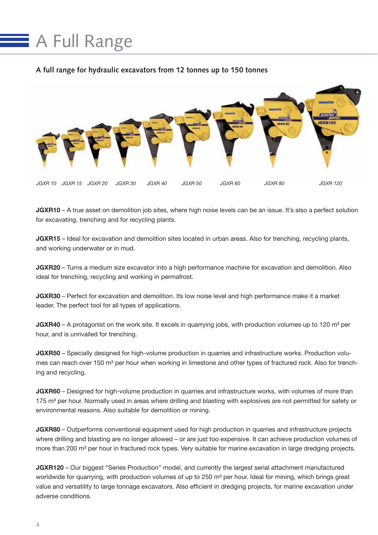## **A Full Range**

#### **A full range for hydraulic excavators from 12 tonnes up to 150 tonnes**



JGXR10 – A true asset on demolition job sites, where high noise levels can be an issue. It's also a perfect solution for excavating, trenching and for recycling plants.

JGXR15 – Ideal for excavation and demolition sites located in urban areas. Also for trenching, recycling plants, and working underwater or in mud.

JGXR20 - Turns a medium size excavator into a high performance machine for excavation and demolition. Also ideal for trenching, recycling and working in permafrost.

JGXR30 – Perfect for excavation and demolition. Its low noise level and high performance make it a market leader. The perfect tool for all types of applications.

**JGXR40** – A protagonist on the work site. It excels in quarrying jobs, with production volumes up to 120  $\text{m}^3$  per hour, and is unrivalled for trenching.

JGXR50 – Specially designed for high-volume production in quarries and infrastructure works. Production volumes can reach over 150 m<sup>3</sup> per hour when working in limestone and other types of fractured rock. Also for trenching and recycling.

JGXR60 – Designed for high-volume production in quarries and infrastructure works, with volumes of more than 175 m<sup>3</sup> per hour. Normally used in areas where drilling and blasting with explosives are not permitted for safety or environmental reasons. Also suitable for demolition or mining.

JGXR80 – Outperforms conventional equipment used for high production in quarries and infrastructure projects where drilling and blasting are no longer allowed – or are just too expensive. It can achieve production volumes of more than 200 m<sup>3</sup> per hour in fractured rock types. Very suitable for marine excavation in large dredging projects.

JGXR120 – Our biggest "Series Production" model, and currently the largest serial attachment manufactured worldwide for quarrying, with production volumes of up to 250 m<sup>3</sup> per hour. Ideal for mining, which brings great value and versatility to large tonnage excavators. Also efficient in dredging projects, for marine excavation under adverse conditions.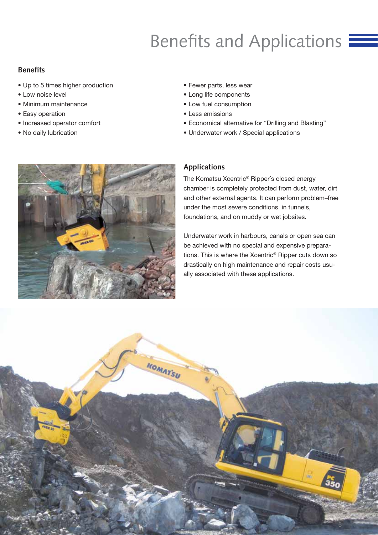### Benefits and Applications  $\equiv$

#### **Benefits**

- Up to 5 times higher production
- Low noise level
- Minimum maintenance
- Easy operation
- Increased operator comfort
- No daily lubrication



- Long life components
- Low fuel consumption
- Less emissions
- Economical alternative for "Drilling and Blasting"
- Underwater work / Special applications



#### **Applications**

The Komatsu Xcentric® Ripper´s closed energy chamber is completely protected from dust, water, dirt and other external agents. It can perform problem–free under the most severe conditions, in tunnels, foundations, and on muddy or wet jobsites.

Underwater work in harbours, canals or open sea can be achieved with no special and expensive preparations. This is where the Xcentric® Ripper cuts down so drastically on high maintenance and repair costs usually associated with these applications.

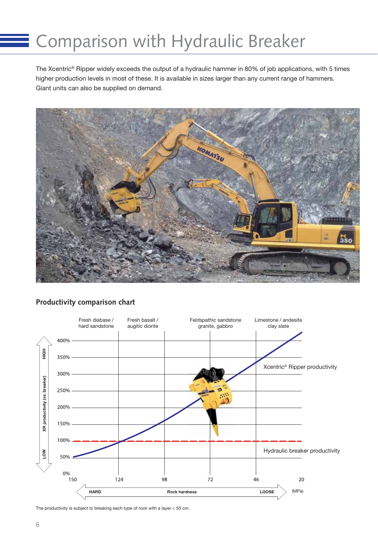### Comparison with Hydraulic Breaker

The Xcentric® Ripper widely exceeds the output of a hydraulic hammer in 80% of job applications, with 5 times higher production levels in most of these. It is available in sizes larger than any current range of hammers. Giant units can also be supplied on demand.



#### **Productivity comparison chart**



The productivity is subject to breaking each type of rock with a layer < 50 cm.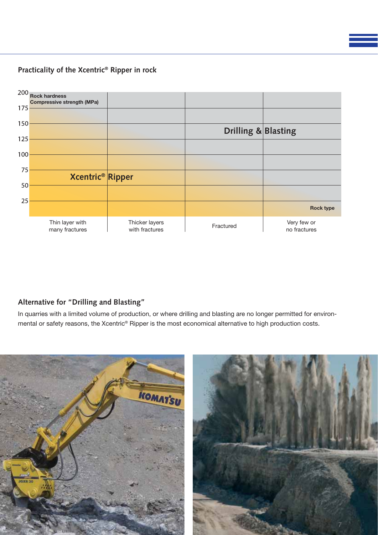**Practicality of the Xcentric® Ripper in rock**



#### **Alternative for "Drilling and Blasting"**

In quarries with a limited volume of production, or where drilling and blasting are no longer permitted for environmental or safety reasons, the Xcentric® Ripper is the most economical alternative to high production costs.